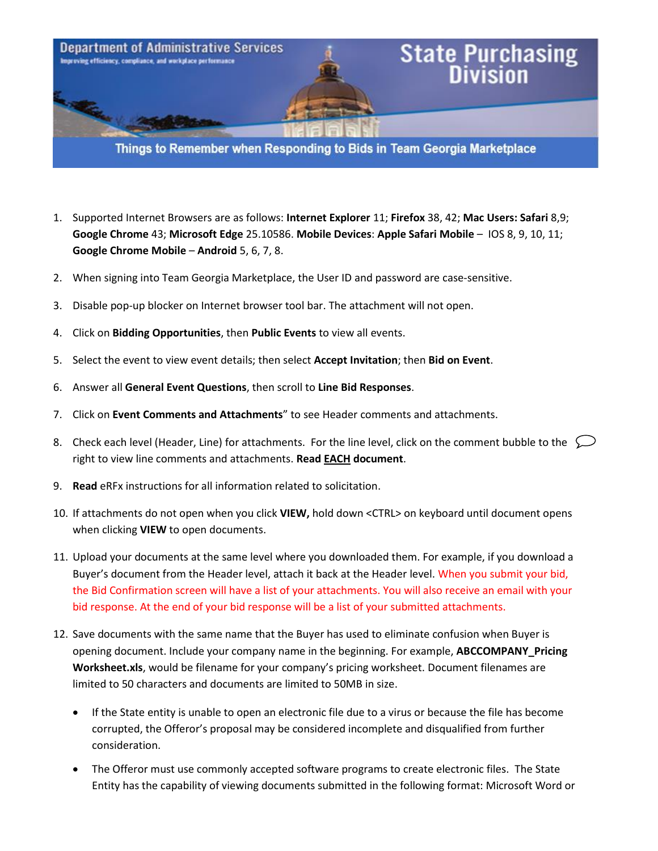

- 1. Supported Internet Browsers are as follows: **Internet Explorer** 11; **Firefox** 38, 42; **Mac Users: Safari** 8,9; **Google Chrome** 43; **Microsoft Edge** 25.10586. **Mobile Devices**: **Apple Safari Mobile** – IOS 8, 9, 10, 11; **Google Chrome Mobile** – **Android** 5, 6, 7, 8.
- 2. When signing into Team Georgia Marketplace, the User ID and password are case-sensitive.
- 3. Disable pop-up blocker on Internet browser tool bar. The attachment will not open.
- 4. Click on **Bidding Opportunities**, then **Public Events** to view all events.
- 5. Select the event to view event details; then select **Accept Invitation**; then **Bid on Event**.
- 6. Answer all **General Event Questions**, then scroll to **Line Bid Responses**.
- 7. Click on **Event Comments and Attachments**" to see Header comments and attachments.
- 8. Check each level (Header, Line) for attachments. For the line level, click on the comment bubble to the  $\sim$ right to view line comments and attachments. **Read EACH document**.
- 9. **Read** eRFx instructions for all information related to solicitation.
- 10. If attachments do not open when you click **VIEW,** hold down <CTRL> on keyboard until document opens when clicking **VIEW** to open documents.
- 11. Upload your documents at the same level where you downloaded them. For example, if you download a Buyer's document from the Header level, attach it back at the Header level. When you submit your bid, the Bid Confirmation screen will have a list of your attachments. You will also receive an email with your bid response. At the end of your bid response will be a list of your submitted attachments.
- 12. Save documents with the same name that the Buyer has used to eliminate confusion when Buyer is opening document. Include your company name in the beginning. For example, **ABCCOMPANY\_Pricing Worksheet.xls**, would be filename for your company's pricing worksheet. Document filenames are limited to 50 characters and documents are limited to 50MB in size.
	- If the State entity is unable to open an electronic file due to a virus or because the file has become corrupted, the Offeror's proposal may be considered incomplete and disqualified from further consideration.
	- The Offeror must use commonly accepted software programs to create electronic files. The State Entity has the capability of viewing documents submitted in the following format: Microsoft Word or